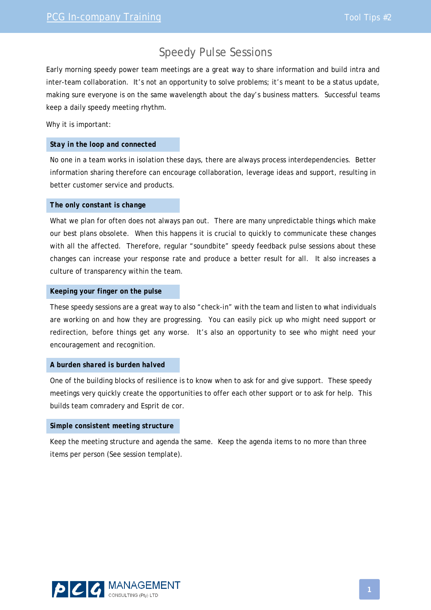## Speedy Pulse Sessions

Early morning speedy power team meetings are a great way to share information and build intra and inter-team collaboration. It's not an opportunity to solve problems; it's meant to be a status update, making sure everyone is on the same wavelength about the day's business matters. Successful teams keep a daily speedy meeting rhythm.

Why it is important:

#### *Stay in the loop and connected*

No one in a team works in isolation these days, there are always process interdependencies. Better information sharing therefore can encourage collaboration, leverage ideas and support, resulting in better customer service and products.

#### *The only constant is change*

What we plan for often does not always pan out. There are many unpredictable things which make our best plans obsolete. When this happens it is crucial to quickly to communicate these changes with all the affected. Therefore, regular "soundbite" speedy feedback pulse sessions about these changes can increase your response rate and produce a better result for all. It also increases a culture of transparency within the team.

#### *Keeping your finger on the pulse*

These speedy sessions are a great way to also "check-in" with the team and listen to what individuals are working on and how they are progressing. You can easily pick up who might need support or redirection, before things get any worse. It's also an opportunity to see who might need your encouragement and recognition.

### *A burden shared is burden halved*

One of the building blocks of resilience is to know when to ask for and give support. These speedy meetings very quickly create the opportunities to offer each other support or to ask for help. This builds team comradery and Esprit de cor.

#### *Simple consistent meeting structure*

Keep the meeting structure and agenda the same. Keep the agenda items to no more than three items per person (See session template).

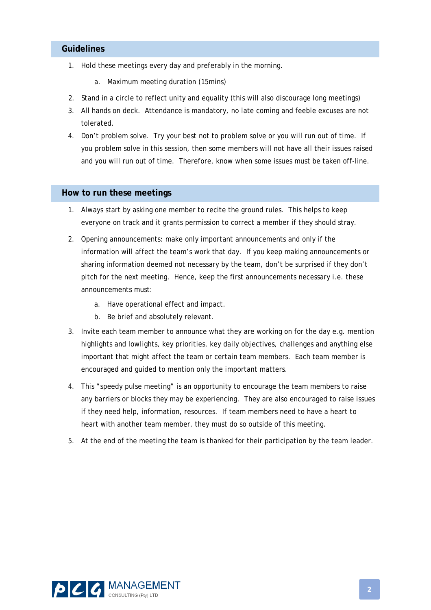## **Guidelines**

- 1. Hold these meetings every day and preferably in the morning.
	- a. Maximum meeting duration (15mins)
- 2. Stand in a circle to reflect unity and equality (this will also discourage long meetings)
- 3. All hands on deck. Attendance is mandatory, no late coming and feeble excuses are not tolerated.
- 4. Don't problem solve. Try your best not to problem solve or you will run out of time. If you problem solve in this session, then some members will not have all their issues raised and you will run out of time. Therefore, know when some issues must be taken off-line.

### **How to run these meetings**

- 1. Always start by asking one member to recite the ground rules. This helps to keep everyone on track and it grants permission to correct a member if they should stray.
- 2. Opening announcements: make only important announcements and only if the information will affect the team's work that day. If you keep making announcements or sharing information deemed not necessary by the team, don't be surprised if they don't pitch for the next meeting. Hence, keep the first announcements necessary i.e. these announcements must:
	- a. Have operational effect and impact.
	- b. Be brief and absolutely relevant.
- 3. Invite each team member to announce what they are working on for the day e.g. mention highlights and lowlights, key priorities, key daily objectives, challenges and anything else important that might affect the team or certain team members. Each team member is encouraged and guided to mention only the important matters.
- 4. This "speedy pulse meeting" is an opportunity to encourage the team members to raise any barriers or blocks they may be experiencing. They are also encouraged to raise issues if they need help, information, resources. If team members need to have a heart to heart with another team member, they must do so outside of this meeting.
- 5. At the end of the meeting the team is thanked for their participation by the team leader.